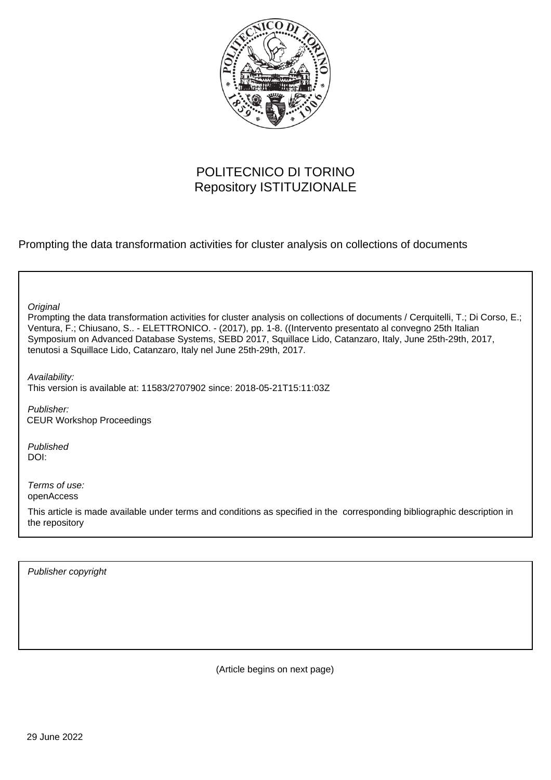

# POLITECNICO DI TORINO Repository ISTITUZIONALE

Prompting the data transformation activities for cluster analysis on collections of documents

**Original** 

Prompting the data transformation activities for cluster analysis on collections of documents / Cerquitelli, T.; Di Corso, E.; Ventura, F.; Chiusano, S.. - ELETTRONICO. - (2017), pp. 1-8. ((Intervento presentato al convegno 25th Italian Symposium on Advanced Database Systems, SEBD 2017, Squillace Lido, Catanzaro, Italy, June 25th-29th, 2017, tenutosi a Squillace Lido, Catanzaro, Italy nel June 25th-29th, 2017.

Availability: This version is available at: 11583/2707902 since: 2018-05-21T15:11:03Z

Publisher: CEUR Workshop Proceedings

Published DOI:

Terms of use: openAccess

This article is made available under terms and conditions as specified in the corresponding bibliographic description in the repository

Publisher copyright

(Article begins on next page)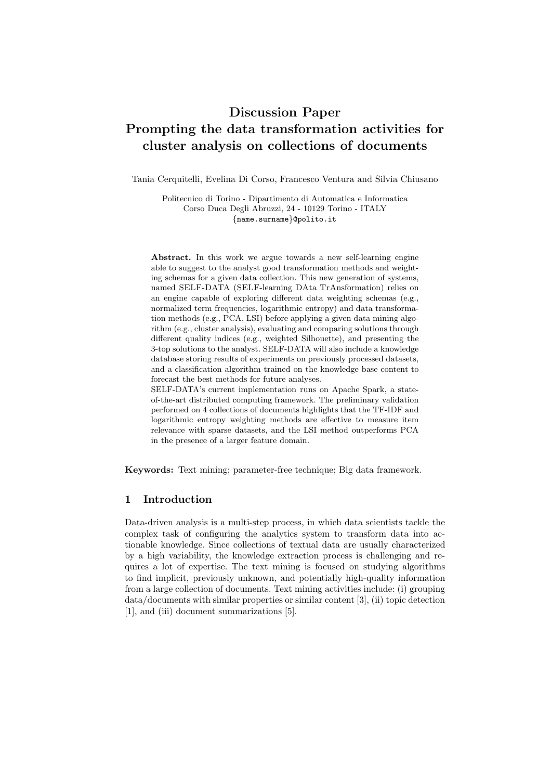## Discussion Paper Prompting the data transformation activities for cluster analysis on collections of documents

Tania Cerquitelli, Evelina Di Corso, Francesco Ventura and Silvia Chiusano

Politecnico di Torino - Dipartimento di Automatica e Informatica Corso Duca Degli Abruzzi, 24 - 10129 Torino - ITALY {name.surname}@polito.it

Abstract. In this work we argue towards a new self-learning engine able to suggest to the analyst good transformation methods and weighting schemas for a given data collection. This new generation of systems, named SELF-DATA (SELF-learning DAta TrAnsformation) relies on an engine capable of exploring different data weighting schemas (e.g., normalized term frequencies, logarithmic entropy) and data transformation methods (e.g., PCA, LSI) before applying a given data mining algorithm (e.g., cluster analysis), evaluating and comparing solutions through different quality indices (e.g., weighted Silhouette), and presenting the 3-top solutions to the analyst. SELF-DATA will also include a knowledge database storing results of experiments on previously processed datasets, and a classification algorithm trained on the knowledge base content to forecast the best methods for future analyses. SELF-DATA's current implementation runs on Apache Spark, a stateof-the-art distributed computing framework. The preliminary validation

performed on 4 collections of documents highlights that the TF-IDF and logarithmic entropy weighting methods are effective to measure item relevance with sparse datasets, and the LSI method outperforms PCA in the presence of a larger feature domain.

Keywords: Text mining; parameter-free technique; Big data framework.

#### 1 Introduction

Data-driven analysis is a multi-step process, in which data scientists tackle the complex task of configuring the analytics system to transform data into actionable knowledge. Since collections of textual data are usually characterized by a high variability, the knowledge extraction process is challenging and requires a lot of expertise. The text mining is focused on studying algorithms to find implicit, previously unknown, and potentially high-quality information from a large collection of documents. Text mining activities include: (i) grouping data/documents with similar properties or similar content [3], (ii) topic detection [1], and (iii) document summarizations [5].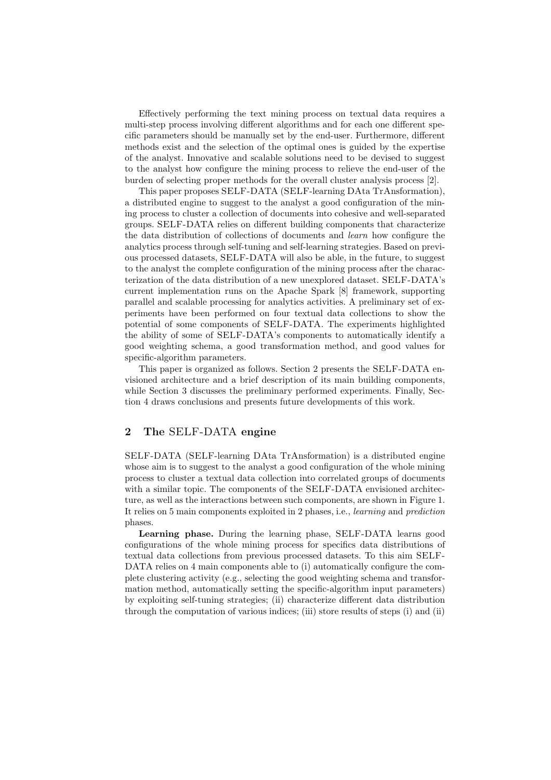Effectively performing the text mining process on textual data requires a multi-step process involving different algorithms and for each one different specific parameters should be manually set by the end-user. Furthermore, different methods exist and the selection of the optimal ones is guided by the expertise of the analyst. Innovative and scalable solutions need to be devised to suggest to the analyst how configure the mining process to relieve the end-user of the burden of selecting proper methods for the overall cluster analysis process [2].

This paper proposes SELF-DATA (SELF-learning DAta TrAnsformation), a distributed engine to suggest to the analyst a good configuration of the mining process to cluster a collection of documents into cohesive and well-separated groups. SELF-DATA relies on different building components that characterize the data distribution of collections of documents and *learn* how configure the analytics process through self-tuning and self-learning strategies. Based on previous processed datasets, SELF-DATA will also be able, in the future, to suggest to the analyst the complete configuration of the mining process after the characterization of the data distribution of a new unexplored dataset. SELF-DATA's current implementation runs on the Apache Spark [8] framework, supporting parallel and scalable processing for analytics activities. A preliminary set of experiments have been performed on four textual data collections to show the potential of some components of SELF-DATA. The experiments highlighted the ability of some of SELF-DATA's components to automatically identify a good weighting schema, a good transformation method, and good values for specific-algorithm parameters.

This paper is organized as follows. Section 2 presents the SELF-DATA envisioned architecture and a brief description of its main building components, while Section 3 discusses the preliminary performed experiments. Finally, Section 4 draws conclusions and presents future developments of this work.

## 2 The SELF-DATA engine

SELF-DATA (SELF-learning DAta TrAnsformation) is a distributed engine whose aim is to suggest to the analyst a good configuration of the whole mining process to cluster a textual data collection into correlated groups of documents with a similar topic. The components of the SELF-DATA envisioned architecture, as well as the interactions between such components, are shown in Figure 1. It relies on 5 main components exploited in 2 phases, i.e., *learning* and *prediction* phases.

Learning phase. During the learning phase, SELF-DATA learns good configurations of the whole mining process for specifics data distributions of textual data collections from previous processed datasets. To this aim SELF-DATA relies on 4 main components able to (i) automatically configure the complete clustering activity (e.g., selecting the good weighting schema and transformation method, automatically setting the specific-algorithm input parameters) by exploiting self-tuning strategies; (ii) characterize different data distribution through the computation of various indices; (iii) store results of steps (i) and (ii)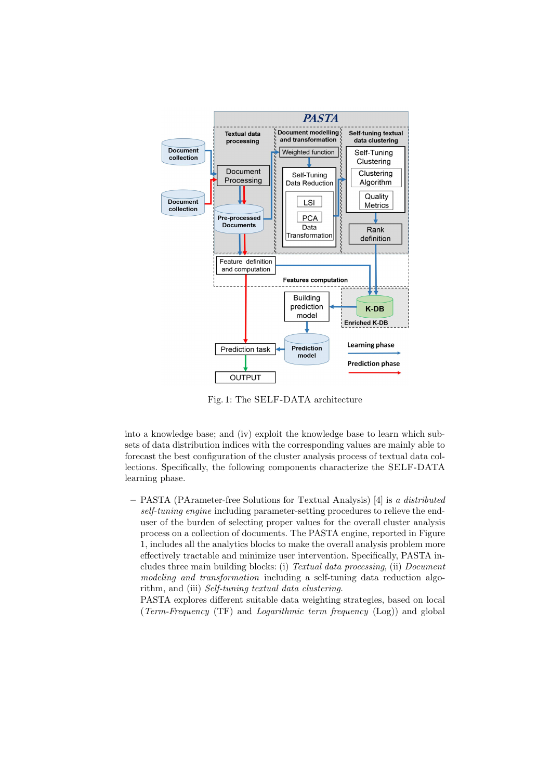

Fig. 1: The SELF-DATA architecture

into a knowledge base; and (iv) exploit the knowledge base to learn which subsets of data distribution indices with the corresponding values are mainly able to forecast the best configuration of the cluster analysis process of textual data collections. Specifically, the following components characterize the SELF-DATA learning phase.

– PASTA (PArameter-free Solutions for Textual Analysis) [4] is *a distributed self-tuning engine* including parameter-setting procedures to relieve the enduser of the burden of selecting proper values for the overall cluster analysis process on a collection of documents. The PASTA engine, reported in Figure 1, includes all the analytics blocks to make the overall analysis problem more effectively tractable and minimize user intervention. Specifically, PASTA includes three main building blocks: (i) *Textual data processing*, (ii) *Document modeling and transformation* including a self-tuning data reduction algorithm, and (iii) *Self-tuning textual data clustering*.

PASTA explores different suitable data weighting strategies, based on local (*Term-Frequency* (TF) and *Logarithmic term frequency* (Log)) and global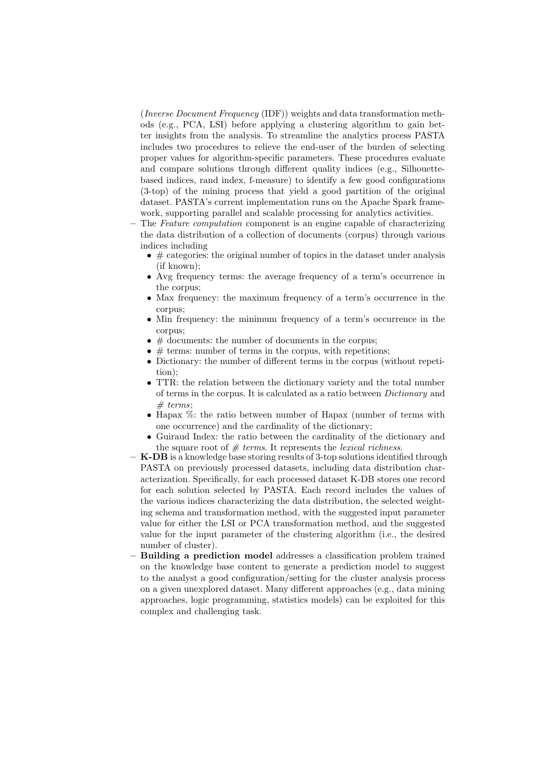(*Inverse Document Frequency* (IDF)) weights and data transformation methods (e.g., PCA, LSI) before applying a clustering algorithm to gain better insights from the analysis. To streamline the analytics process PASTA includes two procedures to relieve the end-user of the burden of selecting proper values for algorithm-specific parameters. These procedures evaluate and compare solutions through different quality indices (e.g., Silhouettebased indices, rand index, f-measure) to identify a few good configurations (3-top) of the mining process that yield a good partition of the original dataset. PASTA's current implementation runs on the Apache Spark framework, supporting parallel and scalable processing for analytics activities.

- The *Feature computation* component is an engine capable of characterizing the data distribution of a collection of documents (corpus) through various indices including
	- $\bullet \#$  categories: the original number of topics in the dataset under analysis (if known);
	- Avg frequency terms: the average frequency of a term's occurrence in the corpus;
	- Max frequency: the maximum frequency of a term's occurrence in the corpus;
	- Min frequency: the minimum frequency of a term's occurrence in the corpus;
	- $\bullet \#$  documents: the number of documents in the corpus:
	- $\bullet \#$  terms: number of terms in the corpus, with repetitions:
	- Dictionary: the number of different terms in the corpus (without repetition);
	- TTR: the relation between the dictionary variety and the total number of terms in the corpus. It is calculated as a ratio between *Dictionary* and *# terms*;
	- Hapax %: the ratio between number of Hapax (number of terms with one occurrence) and the cardinality of the dictionary;
	- Guiraud Index: the ratio between the cardinality of the dictionary and the square root of *# terms*. It represents the *lexical richness*.
- K-DB is a knowledge base storing results of 3-top solutions identified through PASTA on previously processed datasets, including data distribution characterization. Specifically, for each processed dataset K-DB stores one record for each solution selected by PASTA. Each record includes the values of the various indices characterizing the data distribution, the selected weighting schema and transformation method, with the suggested input parameter value for either the LSI or PCA transformation method, and the suggested value for the input parameter of the clustering algorithm (i.e., the desired number of cluster).
- Building a prediction model addresses a classification problem trained on the knowledge base content to generate a prediction model to suggest to the analyst a good configuration/setting for the cluster analysis process on a given unexplored dataset. Many different approaches (e.g., data mining approaches, logic programming, statistics models) can be exploited for this complex and challenging task.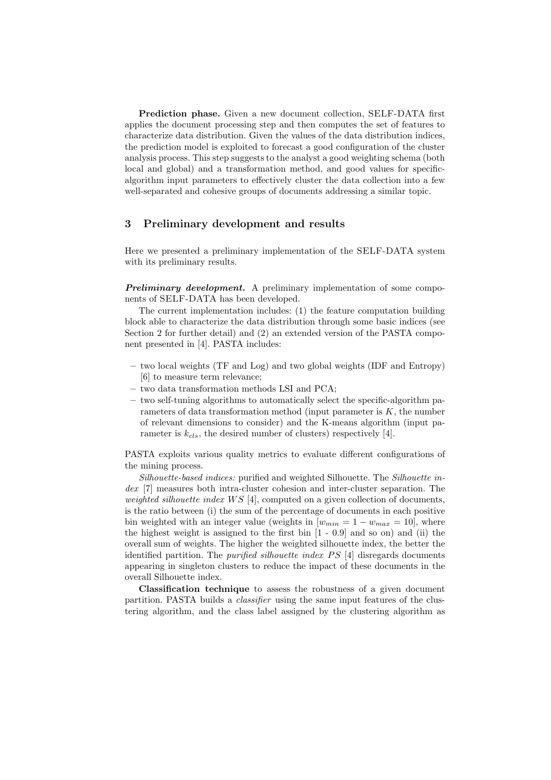Prediction phase. Given a new document collection, SELF-DATA first applies the document processing step and then computes the set of features to characterize data distribution. Given the values of the data distribution indices, the prediction model is exploited to forecast a good configuration of the cluster analysis process. This step suggests to the analyst a good weighting schema (both local and global) and a transformation method, and good values for specificalgorithm input parameters to effectively cluster the data collection into a few well-separated and cohesive groups of documents addressing a similar topic.

### 3 Preliminary development and results

Here we presented a preliminary implementation of the SELF-DATA system with its preliminary results.

**Preliminary development.** A preliminary implementation of some components of SELF-DATA has been developed.

The current implementation includes: (1) the feature computation building block able to characterize the data distribution through some basic indices (see Section 2 for further detail) and (2) an extended version of the PASTA component presented in [4]. PASTA includes:

- two local weights (TF and Log) and two global weights (IDF and Entropy) [6] to measure term relevance;
- two data transformation methods LSI and PCA;
- two self-tuning algorithms to automatically select the specific-algorithm parameters of data transformation method (input parameter is  $K$ , the number of relevant dimensions to consider) and the K-means algorithm (input parameter is  $k_{cls}$ , the desired number of clusters) respectively [4].

PASTA exploits various quality metrics to evaluate different configurations of the mining process.

*Silhouette-based indices:* purified and weighted Silhouette. The *Silhouette index* [7] measures both intra-cluster cohesion and inter-cluster separation. The *weighted silhouette index* WS [4], computed on a given collection of documents, is the ratio between (i) the sum of the percentage of documents in each positive bin weighted with an integer value (weights in  $[w_{min} = 1 - w_{max} = 10]$ , where the highest weight is assigned to the first bin [1 - 0.9] and so on) and (ii) the overall sum of weights. The higher the weighted silhouette index, the better the identified partition. The *purified silhouette index* PS [4] disregards documents appearing in singleton clusters to reduce the impact of these documents in the overall Silhouette index.

Classification technique to assess the robustness of a given document partition. PASTA builds a *classifier* using the same input features of the clustering algorithm, and the class label assigned by the clustering algorithm as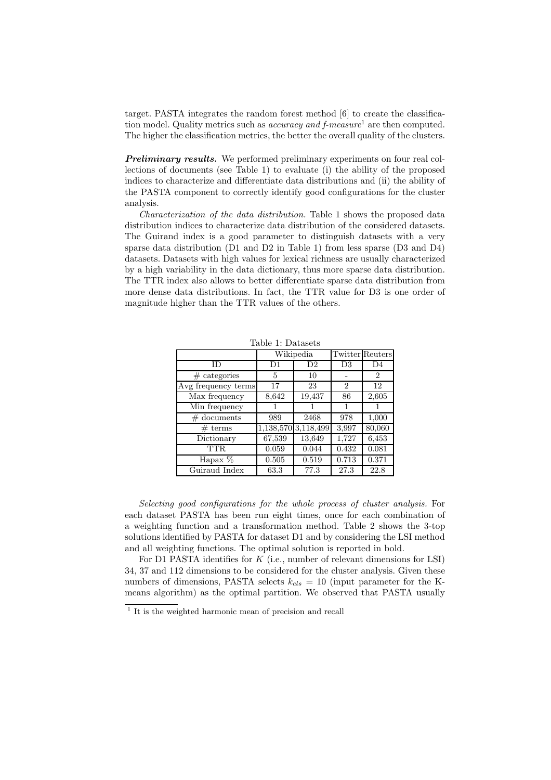target. PASTA integrates the random forest method [6] to create the classification model. Quality metrics such as *accuracy and f-measure*<sup>1</sup> are then computed. The higher the classification metrics, the better the overall quality of the clusters.

**Preliminary results.** We performed preliminary experiments on four real collections of documents (see Table 1) to evaluate (i) the ability of the proposed indices to characterize and differentiate data distributions and (ii) the ability of the PASTA component to correctly identify good configurations for the cluster analysis.

*Characterization of the data distribution.* Table 1 shows the proposed data distribution indices to characterize data distribution of the considered datasets. The Guirand index is a good parameter to distinguish datasets with a very sparse data distribution (D1 and D2 in Table 1) from less sparse (D3 and D4) datasets. Datasets with high values for lexical richness are usually characterized by a high variability in the data dictionary, thus more sparse data distribution. The TTR index also allows to better differentiate sparse data distribution from more dense data distributions. In fact, the TTR value for D3 is one order of magnitude higher than the TTR values of the others.

|                     |        | Wikipedia           | <b>Twitter</b> Reuters |                |
|---------------------|--------|---------------------|------------------------|----------------|
| ΙD                  | D1     | D2                  | D3                     | D4             |
| $#$ categories      | 5      | 10                  |                        | $\overline{2}$ |
| Avg frequency terms | 17     | 23                  | $\overline{2}$         | 12             |
| Max frequency       | 8,642  | 19,437              | 86                     | 2,605          |
| Min frequency       |        |                     | 1                      |                |
| $\#$ documents      | 989    | 2468                | 978                    | 1,000          |
| # terms             |        | 1,138,570 3,118,499 | 3,997                  | 80,060         |
| Dictionary          | 67,539 | 13,649              | 1,727                  | 6,453          |
| TTR.                | 0.059  | 0.044               | 0.432                  | 0.081          |
| Hapax %             | 0.505  | 0.519               | 0.713                  | 0.371          |
| Guiraud Index       | 63.3   | 77.3                | 27.3                   | 22.8           |

Table 1: Datasets

*Selecting good configurations for the whole process of cluster analysis.* For each dataset PASTA has been run eight times, once for each combination of a weighting function and a transformation method. Table 2 shows the 3-top solutions identified by PASTA for dataset D1 and by considering the LSI method and all weighting functions. The optimal solution is reported in bold.

For D1 PASTA identifies for  $K$  (i.e., number of relevant dimensions for LSI) 34, 37 and 112 dimensions to be considered for the cluster analysis. Given these numbers of dimensions, PASTA selects  $k_{cls} = 10$  (input parameter for the Kmeans algorithm) as the optimal partition. We observed that PASTA usually

<sup>1</sup> It is the weighted harmonic mean of precision and recall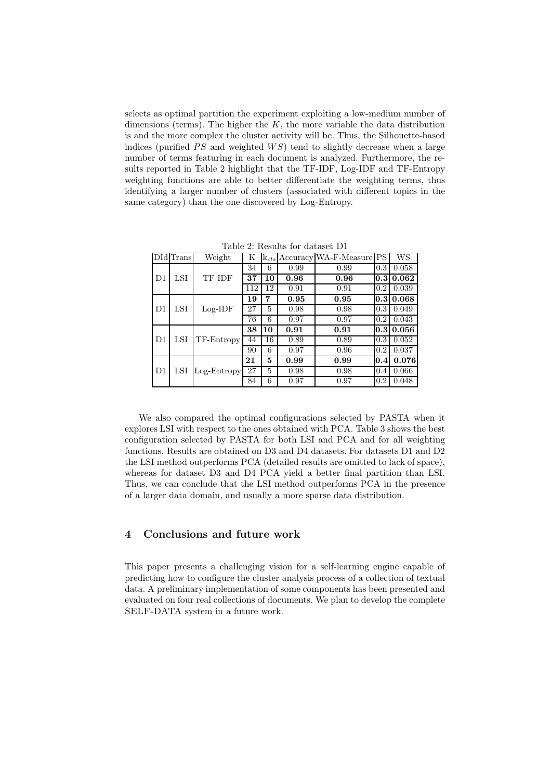selects as optimal partition the experiment exploiting a low-medium number of dimensions (terms). The higher the  $K$ , the more variable the data distribution is and the more complex the cluster activity will be. Thus, the Silhouette-based indices (purified  $PS$  and weighted  $WS$ ) tend to slightly decrease when a large number of terms featuring in each document is analyzed. Furthermore, the results reported in Table 2 highlight that the TF-IDF, Log-IDF and TF-Entropy weighting functions are able to better differentiate the weighting terms, thus identifying a larger number of clusters (associated with different topics in the same category) than the one discovered by Log-Entropy.

|                | DId Trans | Weight        | Κ   |    |      | $\mathbf{k}_{cls}$ Accuracy WA-F-Measure PS |                  | WS             |
|----------------|-----------|---------------|-----|----|------|---------------------------------------------|------------------|----------------|
| D1             |           | TF-IDF        | 34  | 6  | 0.99 | 0.99                                        | 0.3              | 0.058          |
|                | LSI       |               | 37  | 10 | 0.96 | 0.96                                        |                  | $0.3 \, 0.062$ |
|                |           |               | 112 | 12 | 0.91 | 0.91                                        | 0.2              | 0.039          |
| D <sub>1</sub> |           | $Log-IDF$     | 19  | 7  | 0.95 | 0.95                                        |                  | 0.3 0.068      |
|                | LSI       |               | 27  | 5  | 0.98 | 0.98                                        | 0.3              | 0.049          |
|                |           |               | 76  | 6  | 0.97 | 0.97                                        | 0.2              | 0.043          |
| D <sub>1</sub> |           | TF-Entropy    | 38  | 10 | 0.91 | 0.91                                        | 0.3 <sub>l</sub> | 0.056          |
|                | LSI       |               | 44  | 16 | 0.89 | 0.89                                        | 0.3              | 0.052          |
|                |           |               | 90  | 6  | 0.97 | 0.96                                        | 0.2              | 0.037          |
| D <sub>1</sub> | LSI       | $Log-Entropy$ | 21  | 5  | 0.99 | 0.99                                        | 0.4              | 0.076          |
|                |           |               | 27  | 5  | 0.98 | 0.98                                        | 0.4              | 0.066          |
|                |           |               | 84  | 6  | 0.97 | 0.97                                        | 0.2              | 0.048          |

Table 2: Results for dataset D1

We also compared the optimal configurations selected by PASTA when it explores LSI with respect to the ones obtained with PCA. Table 3 shows the best configuration selected by PASTA for both LSI and PCA and for all weighting functions. Results are obtained on D3 and D4 datasets. For datasets D1 and D2 the LSI method outperforms PCA (detailed results are omitted to lack of space), whereas for dataset D3 and D4 PCA yield a better final partition than LSI. Thus, we can conclude that the LSI method outperforms PCA in the presence of a larger data domain, and usually a more sparse data distribution.

### 4 Conclusions and future work

This paper presents a challenging vision for a self-learning engine capable of predicting how to configure the cluster analysis process of a collection of textual data. A preliminary implementation of some components has been presented and evaluated on four real collections of documents. We plan to develop the complete SELF-DATA system in a future work.